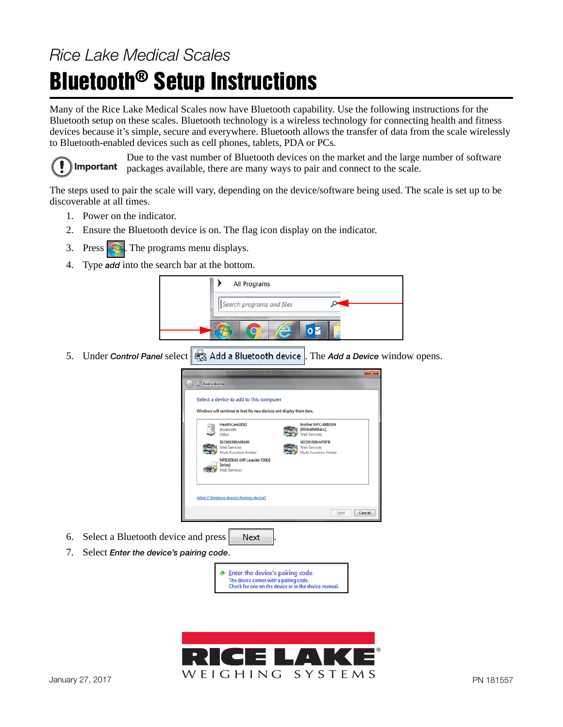## Rice Lake Medical Scales

## Bluetooth® Setup Instructions

Many of the Rice Lake Medical Scales now have Bluetooth capability. Use the following instructions for the Bluetooth setup on these scales. Bluetooth technology is a wireless technology for connecting health and fitness devices because it's simple, secure and everywhere. Bluetooth allows the transfer of data from the scale wirelessly to Bluetooth-enabled devices such as cell phones, tablets, PDA or PCs.



Due to the vast number of Bluetooth devices on the market and the large number of software packages available, there are many ways to pair and connect to the scale.

The steps used to pair the scale will vary, depending on the device/software being used. The scale is set up to be discoverable at all times.

- 1. Power on the indicator.
- 2. Ensure the Bluetooth device is on. The flag icon display on the indicator.
- 3. Press  $\left( \frac{1}{2} \right)$ . The programs menu displays.
- 4. Type add into the search bar at the bottom.



5. Under Control Panel select **...** Add a Bluetooth device . The Add a Device window opens.



- 6. Select a Bluetooth device and press **Next**
- 7. Select Enter the device's pairing code.